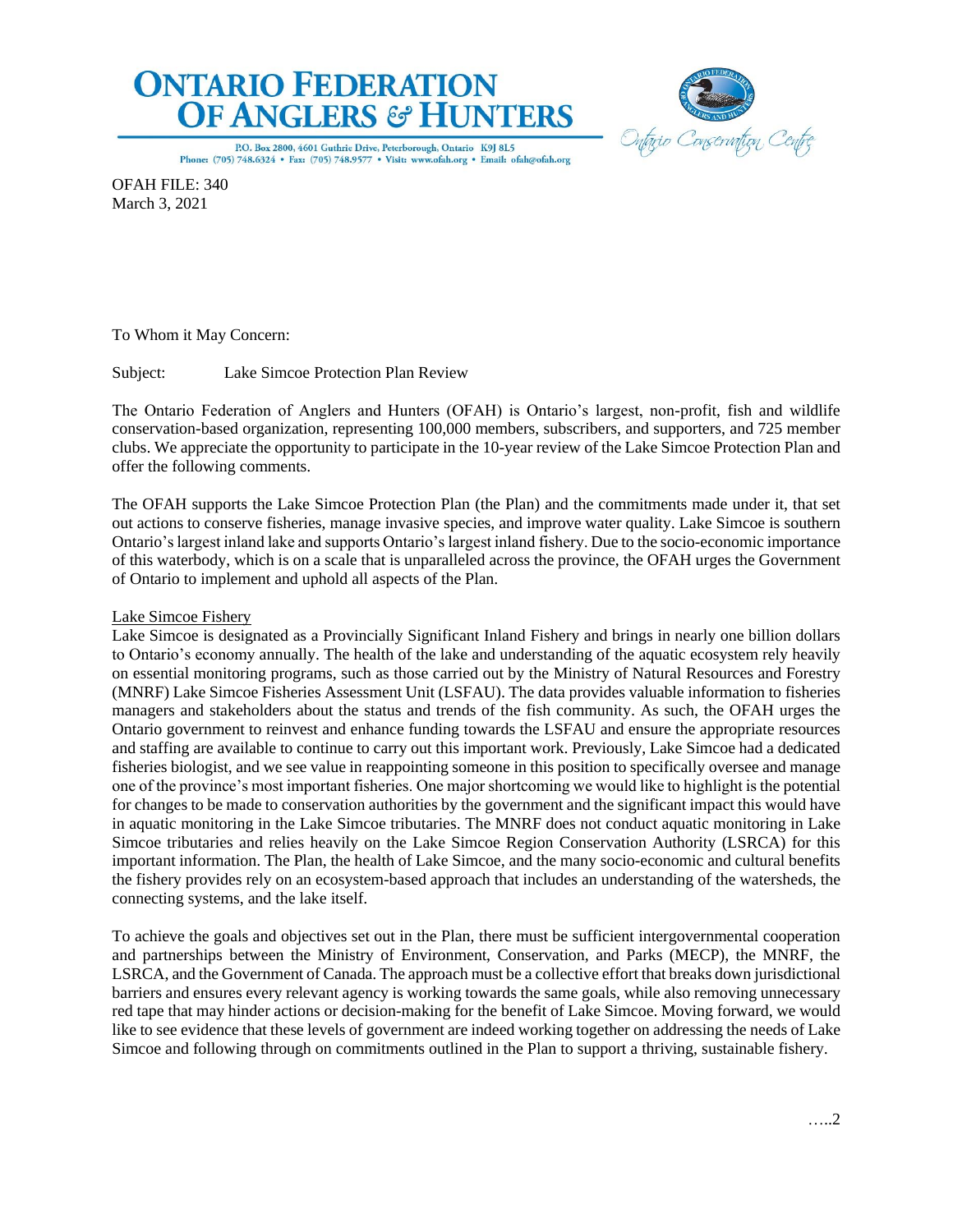



P.O. Box 2800, 4601 Guthrie Drive, Peterborough, Ontario K9J 8L5 Phone: (705) 748.6324 · Fax: (705) 748.9577 · Visit: www.ofah.org · Email: ofah@ofah.org

OFAH FILE: 340 March 3, 2021

To Whom it May Concern:

Subject: Lake Simcoe Protection Plan Review

The Ontario Federation of Anglers and Hunters (OFAH) is Ontario's largest, non-profit, fish and wildlife conservation-based organization, representing 100,000 members, subscribers, and supporters, and 725 member clubs. We appreciate the opportunity to participate in the 10-year review of the Lake Simcoe Protection Plan and offer the following comments.

The OFAH supports the Lake Simcoe Protection Plan (the Plan) and the commitments made under it, that set out actions to conserve fisheries, manage invasive species, and improve water quality. Lake Simcoe is southern Ontario'slargest inland lake and supports Ontario's largest inland fishery. Due to the socio-economic importance of this waterbody, which is on a scale that is unparalleled across the province, the OFAH urges the Government of Ontario to implement and uphold all aspects of the Plan.

# Lake Simcoe Fishery

Lake Simcoe is designated as a Provincially Significant Inland Fishery and brings in nearly one billion dollars to Ontario's economy annually. The health of the lake and understanding of the aquatic ecosystem rely heavily on essential monitoring programs, such as those carried out by the Ministry of Natural Resources and Forestry (MNRF) Lake Simcoe Fisheries Assessment Unit (LSFAU). The data provides valuable information to fisheries managers and stakeholders about the status and trends of the fish community. As such, the OFAH urges the Ontario government to reinvest and enhance funding towards the LSFAU and ensure the appropriate resources and staffing are available to continue to carry out this important work. Previously, Lake Simcoe had a dedicated fisheries biologist, and we see value in reappointing someone in this position to specifically oversee and manage one of the province's most important fisheries. One major shortcoming we would like to highlight is the potential for changes to be made to conservation authorities by the government and the significant impact this would have in aquatic monitoring in the Lake Simcoe tributaries. The MNRF does not conduct aquatic monitoring in Lake Simcoe tributaries and relies heavily on the Lake Simcoe Region Conservation Authority (LSRCA) for this important information. The Plan, the health of Lake Simcoe, and the many socio-economic and cultural benefits the fishery provides rely on an ecosystem-based approach that includes an understanding of the watersheds, the connecting systems, and the lake itself.

To achieve the goals and objectives set out in the Plan, there must be sufficient intergovernmental cooperation and partnerships between the Ministry of Environment, Conservation, and Parks (MECP), the MNRF, the LSRCA, and the Government of Canada. The approach must be a collective effort that breaks down jurisdictional barriers and ensures every relevant agency is working towards the same goals, while also removing unnecessary red tape that may hinder actions or decision-making for the benefit of Lake Simcoe. Moving forward, we would like to see evidence that these levels of government are indeed working together on addressing the needs of Lake Simcoe and following through on commitments outlined in the Plan to support a thriving, sustainable fishery.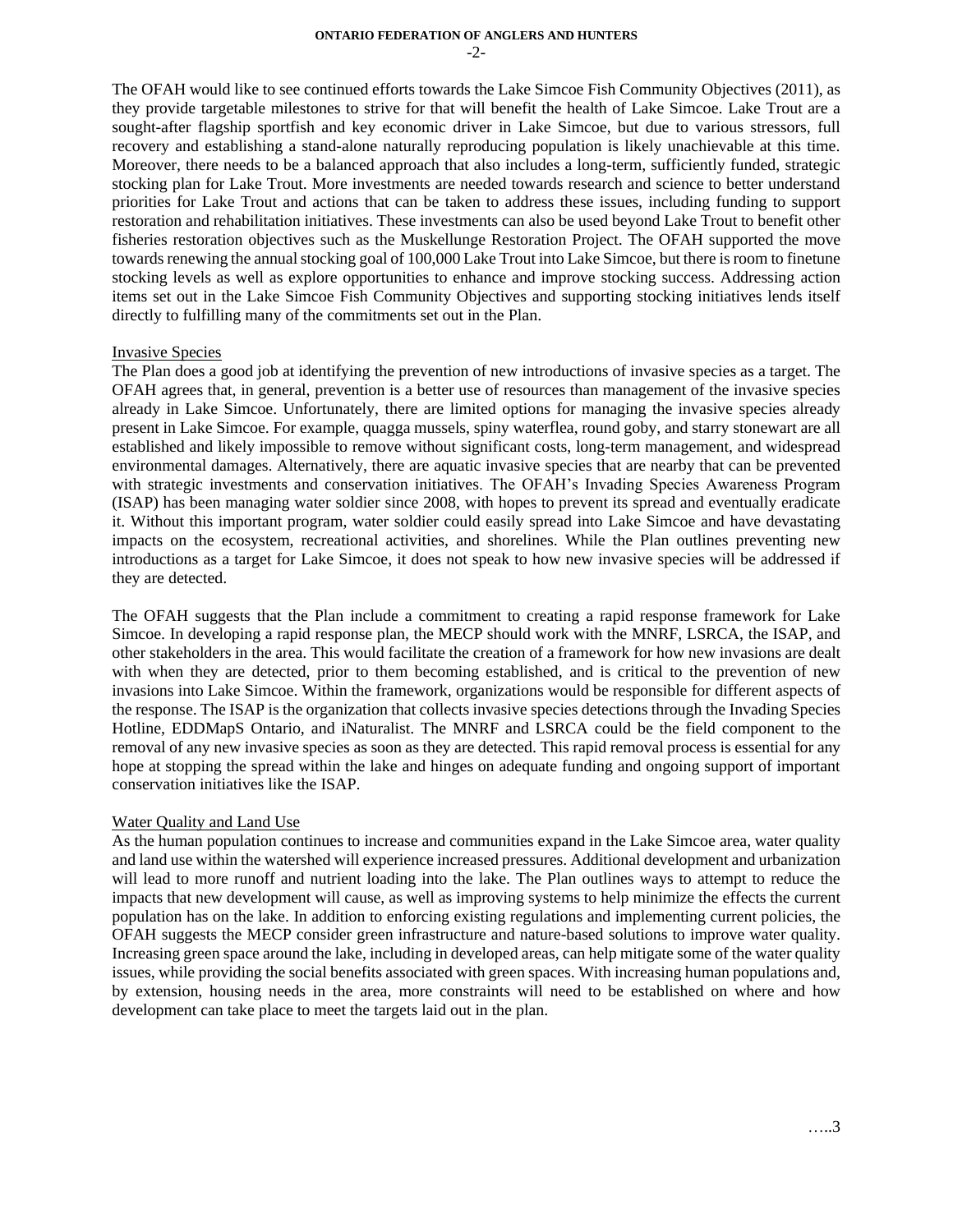# **ONTARIO FEDERATION OF ANGLERS AND HUNTERS**

 $-2-$ 

The OFAH would like to see continued efforts towards the Lake Simcoe Fish Community Objectives (2011), as they provide targetable milestones to strive for that will benefit the health of Lake Simcoe. Lake Trout are a sought-after flagship sportfish and key economic driver in Lake Simcoe, but due to various stressors, full recovery and establishing a stand-alone naturally reproducing population is likely unachievable at this time. Moreover, there needs to be a balanced approach that also includes a long-term, sufficiently funded, strategic stocking plan for Lake Trout. More investments are needed towards research and science to better understand priorities for Lake Trout and actions that can be taken to address these issues, including funding to support restoration and rehabilitation initiatives. These investments can also be used beyond Lake Trout to benefit other fisheries restoration objectives such as the Muskellunge Restoration Project. The OFAH supported the move towards renewing the annual stocking goal of 100,000 Lake Trout into Lake Simcoe, but there is room to finetune stocking levels as well as explore opportunities to enhance and improve stocking success. Addressing action items set out in the Lake Simcoe Fish Community Objectives and supporting stocking initiatives lends itself directly to fulfilling many of the commitments set out in the Plan.

## Invasive Species

The Plan does a good job at identifying the prevention of new introductions of invasive species as a target. The OFAH agrees that, in general, prevention is a better use of resources than management of the invasive species already in Lake Simcoe. Unfortunately, there are limited options for managing the invasive species already present in Lake Simcoe. For example, quagga mussels, spiny waterflea, round goby, and starry stonewart are all established and likely impossible to remove without significant costs, long-term management, and widespread environmental damages. Alternatively, there are aquatic invasive species that are nearby that can be prevented with strategic investments and conservation initiatives. The OFAH's Invading Species Awareness Program (ISAP) has been managing water soldier since 2008, with hopes to prevent its spread and eventually eradicate it. Without this important program, water soldier could easily spread into Lake Simcoe and have devastating impacts on the ecosystem, recreational activities, and shorelines. While the Plan outlines preventing new introductions as a target for Lake Simcoe, it does not speak to how new invasive species will be addressed if they are detected.

The OFAH suggests that the Plan include a commitment to creating a rapid response framework for Lake Simcoe. In developing a rapid response plan, the MECP should work with the MNRF, LSRCA, the ISAP, and other stakeholders in the area. This would facilitate the creation of a framework for how new invasions are dealt with when they are detected, prior to them becoming established, and is critical to the prevention of new invasions into Lake Simcoe. Within the framework, organizations would be responsible for different aspects of the response. The ISAP is the organization that collects invasive species detections through the Invading Species Hotline, EDDMapS Ontario, and iNaturalist. The MNRF and LSRCA could be the field component to the removal of any new invasive species as soon as they are detected. This rapid removal process is essential for any hope at stopping the spread within the lake and hinges on adequate funding and ongoing support of important conservation initiatives like the ISAP.

## Water Quality and Land Use

As the human population continues to increase and communities expand in the Lake Simcoe area, water quality and land use within the watershed will experience increased pressures. Additional development and urbanization will lead to more runoff and nutrient loading into the lake. The Plan outlines ways to attempt to reduce the impacts that new development will cause, as well as improving systems to help minimize the effects the current population has on the lake. In addition to enforcing existing regulations and implementing current policies, the OFAH suggests the MECP consider green infrastructure and nature-based solutions to improve water quality. Increasing green space around the lake, including in developed areas, can help mitigate some of the water quality issues, while providing the social benefits associated with green spaces. With increasing human populations and, by extension, housing needs in the area, more constraints will need to be established on where and how development can take place to meet the targets laid out in the plan.